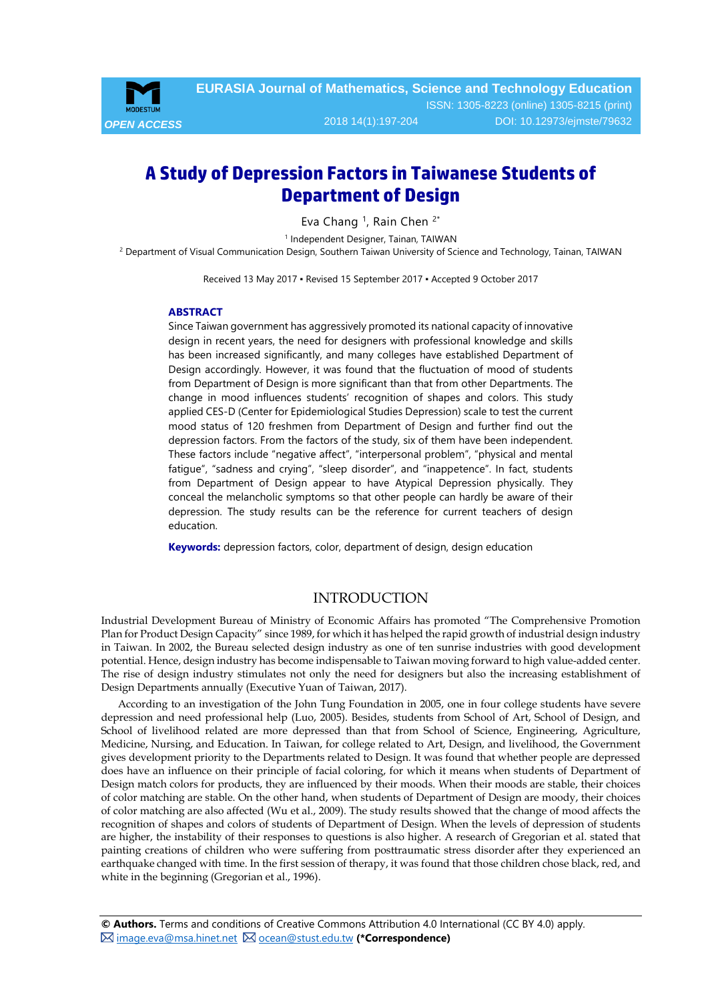

# **A Study of Depression Factors in Taiwanese Students of Department of Design**

Eva Chang<sup>1</sup>, Rain Chen<sup>2\*</sup>

<sup>1</sup> Independent Designer, Tainan, TAIWAN

<span id="page-0-0"></span><sup>2</sup> Department of Visual Communication Design, Southern Taiwan University of Science and Technology, Tainan, TAIWAN

Received 13 May 2017 ▪ Revised 15 September 2017 ▪ Accepted 9 October 2017

#### **ABSTRACT**

Since Taiwan government has aggressively promoted its national capacity of innovative design in recent years, the need for designers with professional knowledge and skills has been increased significantly, and many colleges have established Department of Design accordingly. However, it was found that the fluctuation of mood of students from Department of Design is more significant than that from other Departments. The change in mood influences students' recognition of shapes and colors. This study applied CES-D (Center for Epidemiological Studies Depression) scale to test the current mood status of 120 freshmen from Department of Design and further find out the depression factors. From the factors of the study, six of them have been independent. These factors include "negative affect", "interpersonal problem", "physical and mental fatigue", "sadness and crying", "sleep disorder", and "inappetence". In fact, students from Department of Design appear to have Atypical Depression physically. They conceal the melancholic symptoms so that other people can hardly be aware of their depression. The study results can be the reference for current teachers of design education.

**Keywords:** depression factors, color, department of design, design education

## INTRODUCTION

Industrial Development Bureau of Ministry of Economic Affairs has promoted "The Comprehensive Promotion Plan for Product Design Capacity" since 1989, for which it has helped the rapid growth of industrial design industry in Taiwan. In 2002, the Bureau selected design industry as one of ten sunrise industries with good development potential. Hence, design industry has become indispensable to Taiwan moving forward to high value-added center. The rise of design industry stimulates not only the need for designers but also the increasing establishment of Design Departments annually (Executive Yuan of Taiwan, 2017).

According to an investigation of the John Tung Foundation in 2005, one in four college students have severe depression and need professional help (Luo, 2005). Besides, students from School of Art, School of Design, and School of livelihood related are more depressed than that from School of Science, Engineering, Agriculture, Medicine, Nursing, and Education. In Taiwan, for college related to Art, Design, and livelihood, the Government gives development priority to the Departments related to Design. It was found that whether people are depressed does have an influence on their principle of facial coloring, for which it means when students of Department of Design match colors for products, they are influenced by their moods. When their moods are stable, their choices of color matching are stable. On the other hand, when students of Department of Design are moody, their choices of color matching are also affected (Wu et al., 2009). The study results showed that the change of mood affects the recognition of shapes and colors of students of Department of Design. When the levels of depression of students are higher, the instability of their responses to questions is also higher. A research of Gregorian et al. stated that painting creations of children who were suffering from posttraumatic stress disorder after they experienced an earthquake changed with time. In the first session of therapy, it was found that those children chose black, red, and white in the beginning (Gregorian et al., 1996).

**© Authors.** Terms and conditions of Creative Commons Attribution 4.0 International (CC BY 4.0) apply. [image.eva@msa.hinet.net](mailto:image.eva@msa.hinet.net) [ocean@stust.edu.tw](mailto:ocean@stust.edu.tw) **(\*Correspondence)**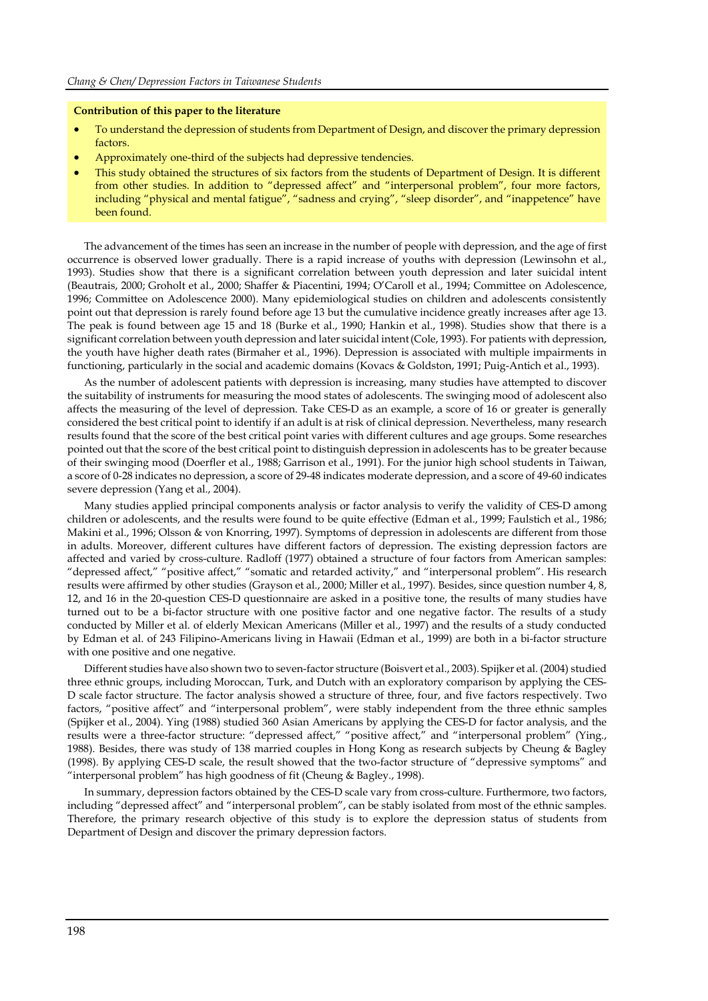#### **Contribution of this paper to the literature**

- To understand the depression of students from Department of Design, and discover the primary depression factors.
- Approximately one-third of the subjects had depressive tendencies.
- This study obtained the structures of six factors from the students of Department of Design. It is different from other studies. In addition to "depressed affect" and "interpersonal problem", four more factors, including "physical and mental fatigue", "sadness and crying", "sleep disorder", and "inappetence" have been found.

The advancement of the times has seen an increase in the number of people with depression, and the age of first occurrence is observed lower gradually. There is a rapid increase of youths with depression (Lewinsohn et al., 1993). Studies show that there is a significant correlation between youth depression and later suicidal intent (Beautrais, 2000; Groholt et al., 2000; Shaffer & Piacentini, 1994; O'Caroll et al., 1994; Committee on Adolescence, 1996; Committee on Adolescence 2000). Many epidemiological studies on children and adolescents consistently point out that depression is rarely found before age 13 but the cumulative incidence greatly increases after age 13. The peak is found between age 15 and 18 (Burke et al., 1990; Hankin et al., 1998). Studies show that there is a significant correlation between youth depression and later suicidal intent(Cole, 1993). For patients with depression, the youth have higher death rates (Birmaher et al., 1996). Depression is associated with multiple impairments in functioning, particularly in the social and academic domains (Kovacs & Goldston, 1991; Puig-Antich et al., 1993).

As the number of adolescent patients with depression is increasing, many studies have attempted to discover the suitability of instruments for measuring the mood states of adolescents. The swinging mood of adolescent also affects the measuring of the level of depression. Take CES-D as an example, a score of 16 or greater is generally considered the best critical point to identify if an adult is at risk of clinical depression. Nevertheless, many research results found that the score of the best critical point varies with different cultures and age groups. Some researches pointed out that the score of the best critical point to distinguish depression in adolescents has to be greater because of their swinging mood (Doerfler et al., 1988; Garrison et al., 1991). For the junior high school students in Taiwan, a score of 0-28 indicates no depression, a score of 29-48 indicates moderate depression, and a score of 49-60 indicates severe depression (Yang et al., 2004).

Many studies applied principal components analysis or factor analysis to verify the validity of CES-D among children or adolescents, and the results were found to be quite effective (Edman et al., 1999; Faulstich et al., 1986; Makini et al., 1996; Olsson & von Knorring, 1997). Symptoms of depression in adolescents are different from those in adults. Moreover, different cultures have different factors of depression. The existing depression factors are affected and varied by cross-culture. Radloff (1977) obtained a structure of four factors from American samples: "depressed affect," "positive affect," "somatic and retarded activity," and "interpersonal problem". His research results were affirmed by other studies (Grayson et al., 2000; Miller et al., 1997). Besides, since question number 4, 8, 12, and 16 in the 20-question CES-D questionnaire are asked in a positive tone, the results of many studies have turned out to be a bi-factor structure with one positive factor and one negative factor. The results of a study conducted by Miller et al. of elderly Mexican Americans (Miller et al., 1997) and the results of a study conducted by Edman et al. of 243 Filipino-Americans living in Hawaii (Edman et al., 1999) are both in a bi-factor structure with one positive and one negative.

Different studies have also shown two to seven-factor structure (Boisvert et al., 2003). Spijker et al. (2004) studied three ethnic groups, including Moroccan, Turk, and Dutch with an exploratory comparison by applying the CES-D scale factor structure. The factor analysis showed a structure of three, four, and five factors respectively. Two factors, "positive affect" and "interpersonal problem", were stably independent from the three ethnic samples (Spijker et al., 2004). Ying (1988) studied 360 Asian Americans by applying the CES-D for factor analysis, and the results were a three-factor structure: "depressed affect," "positive affect," and "interpersonal problem" (Ying., 1988). Besides, there was study of 138 married couples in Hong Kong as research subjects by Cheung & Bagley (1998). By applying CES-D scale, the result showed that the two-factor structure of "depressive symptoms" and "interpersonal problem" has high goodness of fit (Cheung & Bagley., 1998).

In summary, depression factors obtained by the CES-D scale vary from cross-culture. Furthermore, two factors, including "depressed affect" and "interpersonal problem", can be stably isolated from most of the ethnic samples. Therefore, the primary research objective of this study is to explore the depression status of students from Department of Design and discover the primary depression factors.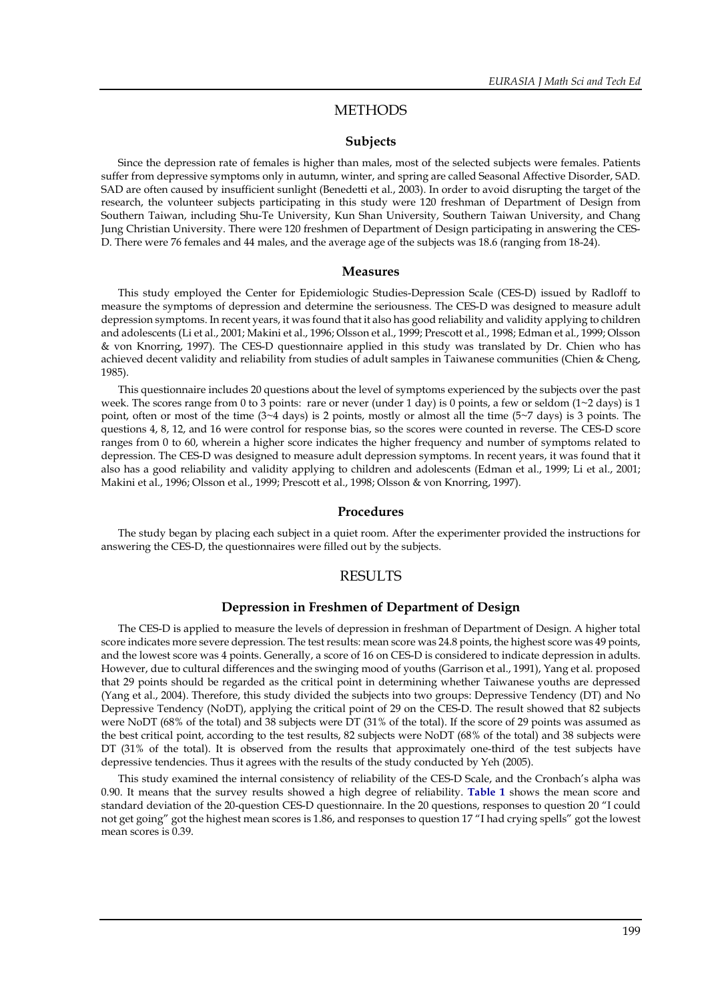## **METHODS**

## **Subjects**

Since the depression rate of females is higher than males, most of the selected subjects were females. Patients suffer from depressive symptoms only in autumn, winter, and spring are called Seasonal Affective Disorder, SAD. SAD are often caused by insufficient sunlight (Benedetti et al., 2003). In order to avoid disrupting the target of the research, the volunteer subjects participating in this study were 120 freshman of Department of Design from Southern Taiwan, including Shu-Te University, Kun Shan University, Southern Taiwan University, and Chang Jung Christian University. There were 120 freshmen of Department of Design participating in answering the CES-D. There were 76 females and 44 males, and the average age of the subjects was 18.6 (ranging from 18-24).

#### **Measures**

This study employed the Center for Epidemiologic Studies-Depression Scale (CES-D) issued by Radloff to measure the symptoms of depression and determine the seriousness. The CES-D was designed to measure adult depression symptoms. In recent years, it was found that it also has good reliability and validity applying to children and adolescents (Li et al., 2001; Makini et al., 1996; Olsson et al., 1999; Prescott et al., 1998; Edman et al., 1999; Olsson & von Knorring, 1997). The CES-D questionnaire applied in this study was translated by Dr. Chien who has achieved decent validity and reliability from studies of adult samples in Taiwanese communities (Chien & Cheng, 1985).

This questionnaire includes 20 questions about the level of symptoms experienced by the subjects over the past week. The scores range from 0 to 3 points: rare or never (under 1 day) is 0 points, a few or seldom  $(1\sim2$  days) is 1 point, often or most of the time (3~4 days) is 2 points, mostly or almost all the time (5~7 days) is 3 points. The questions 4, 8, 12, and 16 were control for response bias, so the scores were counted in reverse. The CES-D score ranges from 0 to 60, wherein a higher score indicates the higher frequency and number of symptoms related to depression. The CES-D was designed to measure adult depression symptoms. In recent years, it was found that it also has a good reliability and validity applying to children and adolescents (Edman et al., 1999; Li et al., 2001; Makini et al., 1996; Olsson et al., 1999; Prescott et al., 1998; Olsson & von Knorring, 1997).

#### **Procedures**

The study began by placing each subject in a quiet room. After the experimenter provided the instructions for answering the CES-D, the questionnaires were filled out by the subjects.

#### RESULTS

#### **Depression in Freshmen of Department of Design**

The CES-D is applied to measure the levels of depression in freshman of Department of Design. A higher total score indicates more severe depression. The test results: mean score was 24.8 points, the highest score was 49 points, and the lowest score was 4 points. Generally, a score of 16 on CES-D is considered to indicate depression in adults. However, due to cultural differences and the swinging mood of youths (Garrison et al., 1991), Yang et al. proposed that 29 points should be regarded as the critical point in determining whether Taiwanese youths are depressed (Yang et al., 2004). Therefore, this study divided the subjects into two groups: Depressive Tendency (DT) and No Depressive Tendency (NoDT), applying the critical point of 29 on the CES-D. The result showed that 82 subjects were NoDT (68% of the total) and 38 subjects were DT (31% of the total). If the score of 29 points was assumed as the best critical point, according to the test results, 82 subjects were NoDT (68% of the total) and 38 subjects were DT (31% of the total). It is observed from the results that approximately one-third of the test subjects have depressive tendencies. Thus it agrees with the results of the study conducted by Yeh (2005).

This study examined the internal consistency of reliability of the CES-D Scale, and the Cronbach's alpha was 0.90. It means that the survey results showed a high degree of reliability. **Table 1** shows the mean score and standard deviation of the 20-question CES-D questionnaire. In the 20 questions, responses to question 20 "I could not get going" got the highest mean scores is 1.86, and responses to question 17 "I had crying spells" got the lowest mean scores is 0.39.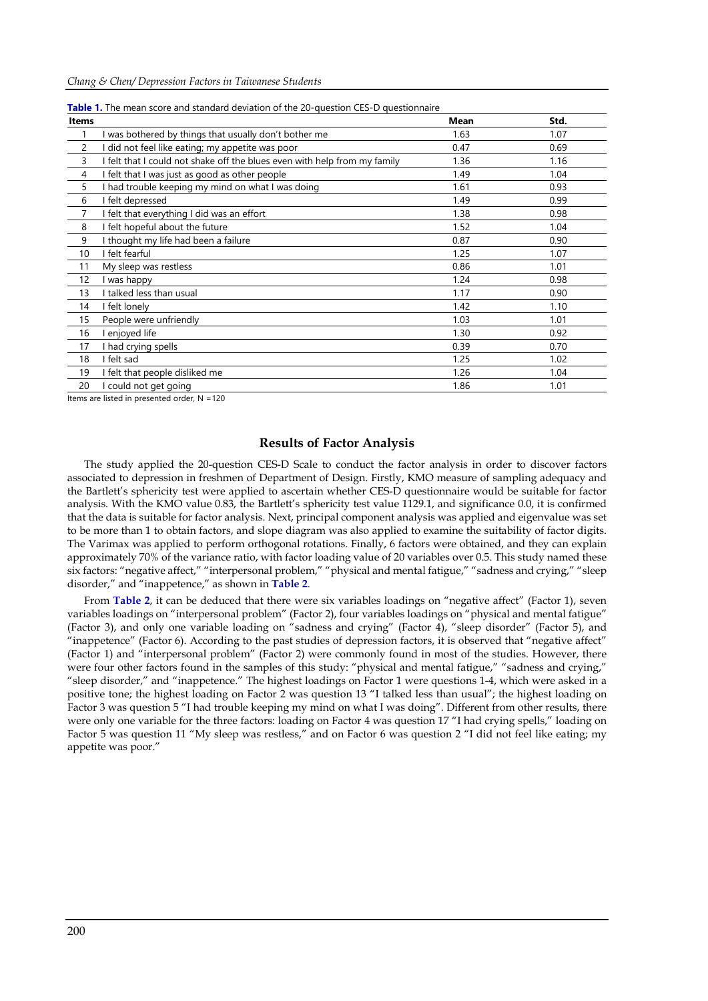| Items |                                                                           | Mean | Std. |
|-------|---------------------------------------------------------------------------|------|------|
|       | I was bothered by things that usually don't bother me                     | 1.63 | 1.07 |
| 2     | I did not feel like eating; my appetite was poor                          | 0.47 | 0.69 |
| 3     | I felt that I could not shake off the blues even with help from my family | 1.36 | 1.16 |
| 4     | I felt that I was just as good as other people                            | 1.49 | 1.04 |
| 5     | I had trouble keeping my mind on what I was doing                         | 1.61 | 0.93 |
| 6     | I felt depressed                                                          | 1.49 | 0.99 |
|       | I felt that everything I did was an effort                                | 1.38 | 0.98 |
| 8     | I felt hopeful about the future                                           | 1.52 | 1.04 |
| 9     | I thought my life had been a failure                                      | 0.87 | 0.90 |
| 10    | I felt fearful                                                            | 1.25 | 1.07 |
| 11    | My sleep was restless                                                     | 0.86 | 1.01 |
| 12    | I was happy                                                               | 1.24 | 0.98 |
| 13    | I talked less than usual                                                  | 1.17 | 0.90 |
| 14    | I felt lonely                                                             | 1.42 | 1.10 |
| 15    | People were unfriendly                                                    | 1.03 | 1.01 |
| 16    | enjoyed life                                                              | 1.30 | 0.92 |
| 17    | I had crying spells                                                       | 0.39 | 0.70 |
| 18    | I felt sad                                                                | 1.25 | 1.02 |
| 19    | I felt that people disliked me                                            | 1.26 | 1.04 |
| 20    | could not get going                                                       | 1.86 | 1.01 |

|  | <b>Table 1.</b> The mean score and standard deviation of the 20-question CES-D questionnaire |  |
|--|----------------------------------------------------------------------------------------------|--|
|--|----------------------------------------------------------------------------------------------|--|

Items are listed in presented order,  $N = 120$ 

#### **Results of Factor Analysis**

The study applied the 20-question CES-D Scale to conduct the factor analysis in order to discover factors associated to depression in freshmen of Department of Design. Firstly, KMO measure of sampling adequacy and the Bartlett's sphericity test were applied to ascertain whether CES-D questionnaire would be suitable for factor analysis. With the KMO value 0.83, the Bartlett's sphericity test value 1129.1, and significance 0.0, it is confirmed that the data is suitable for factor analysis. Next, principal component analysis was applied and eigenvalue was set to be more than 1 to obtain factors, and slope diagram was also applied to examine the suitability of factor digits. The Varimax was applied to perform orthogonal rotations. Finally, 6 factors were obtained, and they can explain approximately 70% of the variance ratio, with factor loading value of 20 variables over 0.5. This study named these six factors: "negative affect," "interpersonal problem," "physical and mental fatigue," "sadness and crying," "sleep disorder," and "inappetence," as shown in **Table 2**.

From **Table 2**, it can be deduced that there were six variables loadings on "negative affect" (Factor 1), seven variables loadings on "interpersonal problem" (Factor 2), four variables loadings on "physical and mental fatigue" (Factor 3), and only one variable loading on "sadness and crying" (Factor 4), "sleep disorder" (Factor 5), and "inappetence" (Factor 6). According to the past studies of depression factors, it is observed that "negative affect" (Factor 1) and "interpersonal problem" (Factor 2) were commonly found in most of the studies. However, there were four other factors found in the samples of this study: "physical and mental fatigue," "sadness and crying," "sleep disorder," and "inappetence." The highest loadings on Factor 1 were questions 1-4, which were asked in a positive tone; the highest loading on Factor 2 was question 13 "I talked less than usual"; the highest loading on Factor 3 was question 5 "I had trouble keeping my mind on what I was doing". Different from other results, there were only one variable for the three factors: loading on Factor 4 was question 17 "I had crying spells," loading on Factor 5 was question 11 "My sleep was restless," and on Factor 6 was question 2 "I did not feel like eating; my appetite was poor."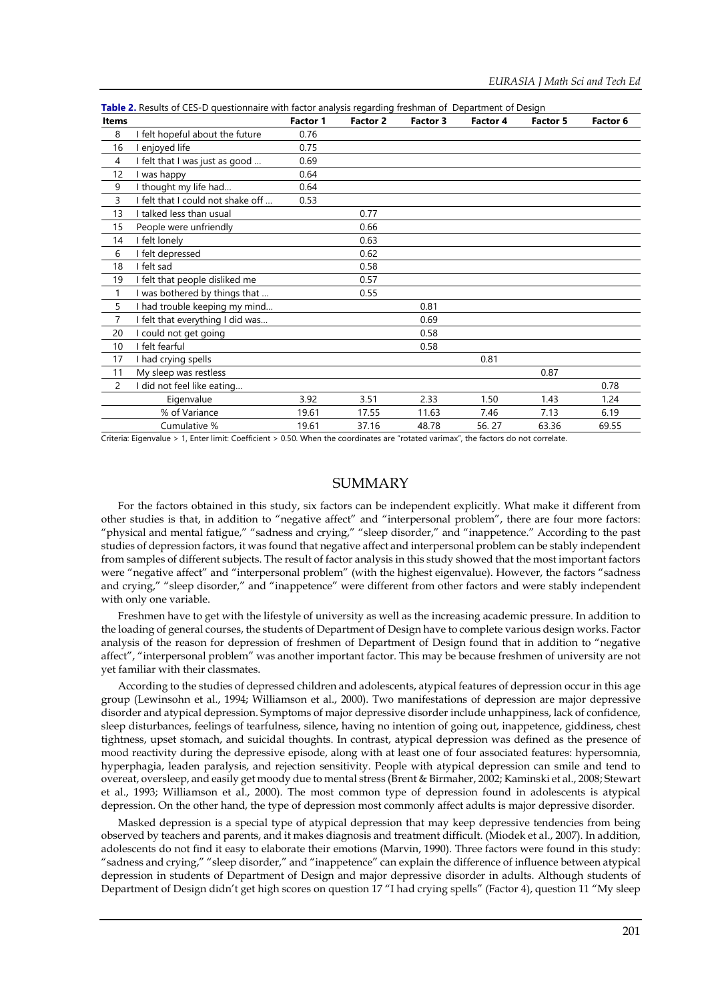| <b>Items</b>   |                                   | Factor 1 | <b>Factor 2</b> | Factor 3 | Factor 4 | Factor 5 | Factor 6 |
|----------------|-----------------------------------|----------|-----------------|----------|----------|----------|----------|
| 8              | I felt hopeful about the future   | 0.76     |                 |          |          |          |          |
| 16             | I enjoyed life                    | 0.75     |                 |          |          |          |          |
| $\overline{4}$ | I felt that I was just as good    | 0.69     |                 |          |          |          |          |
| 12             | I was happy                       | 0.64     |                 |          |          |          |          |
| 9              | I thought my life had             | 0.64     |                 |          |          |          |          |
| 3              | I felt that I could not shake off | 0.53     |                 |          |          |          |          |
| 13             | I talked less than usual          |          | 0.77            |          |          |          |          |
| 15             | People were unfriendly            |          | 0.66            |          |          |          |          |
| 14             | I felt lonely                     |          | 0.63            |          |          |          |          |
| 6              | I felt depressed                  |          | 0.62            |          |          |          |          |
| 18             | I felt sad                        |          | 0.58            |          |          |          |          |
| 19             | I felt that people disliked me    |          | 0.57            |          |          |          |          |
| $\mathbf{1}$   | I was bothered by things that     |          | 0.55            |          |          |          |          |
| 5              | I had trouble keeping my mind     |          |                 | 0.81     |          |          |          |
| $\overline{7}$ | I felt that everything I did was  |          |                 | 0.69     |          |          |          |
| 20             | I could not get going             |          |                 | 0.58     |          |          |          |
| 10             | I felt fearful                    |          |                 | 0.58     |          |          |          |
| 17             | I had crying spells               |          |                 |          | 0.81     |          |          |
| 11             | My sleep was restless             |          |                 |          |          | 0.87     |          |
| 2              | I did not feel like eating        |          |                 |          |          |          | 0.78     |
|                | Eigenvalue                        | 3.92     | 3.51            | 2.33     | 1.50     | 1.43     | 1.24     |
|                | % of Variance                     | 19.61    | 17.55           | 11.63    | 7.46     | 7.13     | 6.19     |
|                | Cumulative %                      | 19.61    | 37.16           | 48.78    | 56.27    | 63.36    | 69.55    |

**Table 2.** Results of CES-D questionnaire with factor analysis regarding freshman of Department of Design

Criteria: Eigenvalue > 1, Enter limit: Coefficient > 0.50. When the coordinates are "rotated varimax", the factors do not correlate.

#### SUMMARY

For the factors obtained in this study, six factors can be independent explicitly. What make it different from other studies is that, in addition to "negative affect" and "interpersonal problem", there are four more factors: "physical and mental fatigue," "sadness and crying," "sleep disorder," and "inappetence." According to the past studies of depression factors, it was found that negative affect and interpersonal problem can be stably independent from samples of different subjects. The result of factor analysis in this study showed that the most important factors were "negative affect" and "interpersonal problem" (with the highest eigenvalue). However, the factors "sadness and crying," "sleep disorder," and "inappetence" were different from other factors and were stably independent with only one variable.

Freshmen have to get with the lifestyle of university as well as the increasing academic pressure. In addition to the loading of general courses, the students of Department of Design have to complete various design works. Factor analysis of the reason for depression of freshmen of Department of Design found that in addition to "negative affect", "interpersonal problem" was another important factor. This may be because freshmen of university are not yet familiar with their classmates.

According to the studies of depressed children and adolescents, atypical features of depression occur in this age group (Lewinsohn et al., 1994; Williamson et al., 2000). Two manifestations of depression are major depressive disorder and atypical depression. Symptoms of major depressive disorder include unhappiness, lack of confidence, sleep disturbances, feelings of tearfulness, silence, having no intention of going out, inappetence, giddiness, chest tightness, upset stomach, and suicidal thoughts. In contrast, atypical depression was defined as the presence of mood reactivity during the depressive episode, along with at least one of four associated features: hypersomnia, hyperphagia, leaden paralysis, and rejection sensitivity. People with atypical depression can smile and tend to overeat, oversleep, and easily get moody due to mental stress (Brent & Birmaher, 2002; Kaminski et al., 2008; Stewart et al., 1993; Williamson et al., 2000). The most common type of depression found in adolescents is atypical depression. On the other hand, the type of depression most commonly affect adults is major depressive disorder.

Masked depression is a special type of atypical depression that may keep depressive tendencies from being observed by teachers and parents, and it makes diagnosis and treatment difficult. (Miodek et al., 2007). In addition, adolescents do not find it easy to elaborate their emotions (Marvin, 1990). Three factors were found in this study: "sadness and crying," "sleep disorder," and "inappetence" can explain the difference of influence between atypical depression in students of Department of Design and major depressive disorder in adults. Although students of Department of Design didn't get high scores on question 17 "I had crying spells" (Factor 4), question 11 "My sleep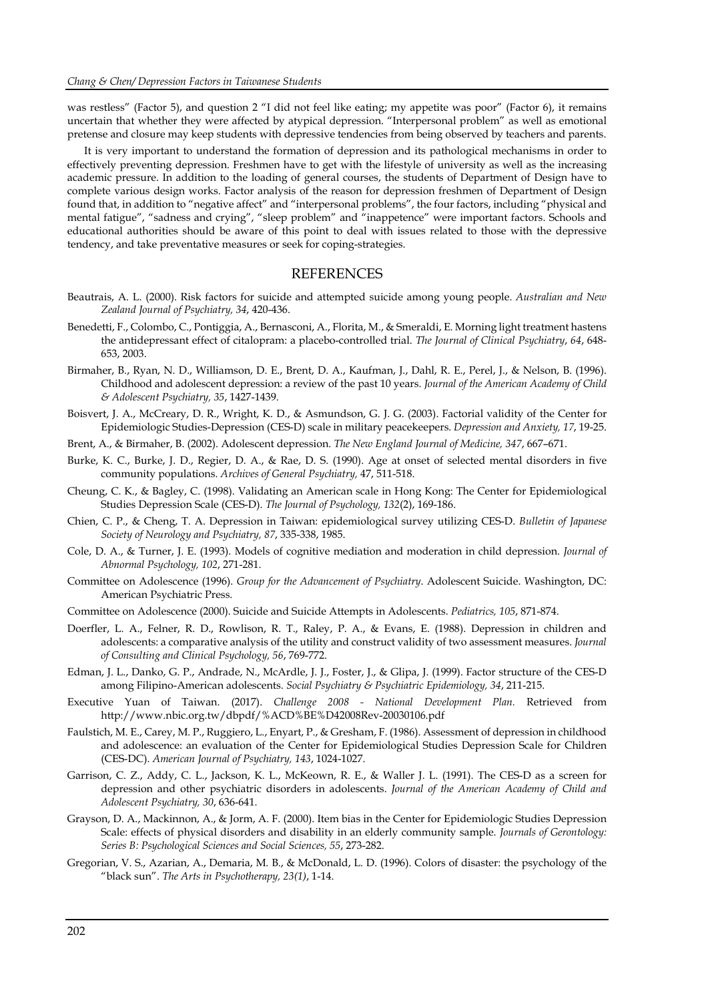was restless" (Factor 5), and question 2 "I did not feel like eating; my appetite was poor" (Factor 6), it remains uncertain that whether they were affected by atypical depression. "Interpersonal problem" as well as emotional pretense and closure may keep students with depressive tendencies from being observed by teachers and parents.

It is very important to understand the formation of depression and its pathological mechanisms in order to effectively preventing depression. Freshmen have to get with the lifestyle of university as well as the increasing academic pressure. In addition to the loading of general courses, the students of Department of Design have to complete various design works. Factor analysis of the reason for depression freshmen of Department of Design found that, in addition to "negative affect" and "interpersonal problems", the four factors, including "physical and mental fatigue", "sadness and crying", "sleep problem" and "inappetence" were important factors. Schools and educational authorities should be aware of this point to deal with issues related to those with the depressive tendency, and take preventative measures or seek for coping-strategies.

## **REFERENCES**

- Beautrais, A. L. (2000). Risk factors for suicide and attempted suicide among young people. *Australian and New Zealand Journal of Psychiatry, 34*, 420-436.
- Benedetti, F., Colombo, C., Pontiggia, A., Bernasconi, A., Florita, M., & Smeraldi, E. Morning light treatment hastens the antidepressant effect of citalopram: a placebo-controlled trial. *The Journal of Clinical Psychiatry*, *64*, 648- 653, 2003.
- Birmaher, B., Ryan, N. D., Williamson, D. E., Brent, D. A., Kaufman, J., Dahl, R. E., Perel, J., & Nelson, B. (1996). Childhood and adolescent depression: a review of the past 10 years. *Journal of the American Academy of Child & Adolescent Psychiatry, 35*, 1427-1439.
- Boisvert, J. A., McCreary, D. R., Wright, K. D., & Asmundson, G. J. G. (2003). Factorial validity of the Center for Epidemiologic Studies-Depression (CES-D) scale in military peacekeepers. *Depression and Anxiety, 17*, 19-25.
- Brent, A., & Birmaher, B. (2002). Adolescent depression. *The New England Journal of Medicine, 347*, 667–671.
- Burke, K. C., Burke, J. D., Regier, D. A., & Rae, D. S. (1990). Age at onset of selected mental disorders in five community populations. *Archives of General Psychiatry,* 47, 511-518.
- Cheung, C. K., & Bagley, C. (1998). Validating an American scale in Hong Kong: The Center for Epidemiological Studies Depression Scale (CES-D). *The Journal of Psychology, 132*(2), 169-186.
- Chien, C. P., & Cheng, T. A. Depression in Taiwan: epidemiological survey utilizing CES-D. *Bulletin of Japanese Society of Neurology and Psychiatry, 87*, 335-338, 1985.
- Cole, D. A., & Turner, J. E. (1993). Models of cognitive mediation and moderation in child depression. *Journal of Abnormal Psychology, 102*, 271-281.
- Committee on Adolescence (1996). *Group for the Advancement of Psychiatry*. Adolescent Suicide. Washington, DC: American Psychiatric Press.
- Committee on Adolescence (2000). Suicide and Suicide Attempts in Adolescents. *Pediatrics, 105*, 871-874.
- Doerfler, L. A., Felner, R. D., Rowlison, R. T., Raley, P. A., & Evans, E. (1988). Depression in children and adolescents: a comparative analysis of the utility and construct validity of two assessment measures. *Journal of Consulting and Clinical Psychology, 56*, 769-772.
- Edman, J. L., Danko, G. P., Andrade, N., McArdle, J. J., Foster, J., & Glipa, J. (1999). Factor structure of the CES-D among Filipino-American adolescents. *Social Psychiatry & Psychiatric Epidemiology, 34*, 211-215.
- Executive Yuan of Taiwan. (2017). *Challenge 2008 - National Development Plan.* Retrieved from http://www.nbic.org.tw/dbpdf/%ACD%BE%D42008Rev-20030106.pdf
- Faulstich, M. E., Carey, M. P., Ruggiero, L., Enyart, P., & Gresham, F. (1986). Assessment of depression in childhood and adolescence: an evaluation of the Center for Epidemiological Studies Depression Scale for Children (CES-DC). *American Journal of Psychiatry, 143*, 1024-1027.
- Garrison, C. Z., Addy, C. L., Jackson, K. L., McKeown, R. E., & Waller J. L. (1991). The CES-D as a screen for depression and other psychiatric disorders in adolescents. *Journal of the American Academy of Child and Adolescent Psychiatry, 30*, 636-641.
- Grayson, D. A., Mackinnon, A., & Jorm, A. F. (2000). Item bias in the Center for Epidemiologic Studies Depression Scale: effects of physical disorders and disability in an elderly community sample. *Journals of Gerontology: Series B: Psychological Sciences and Social Sciences, 55*, 273-282.
- Gregorian, V. S., Azarian, A., Demaria, M. B., & McDonald, L. D. (1996). Colors of disaster: the psychology of the "black sun". *The Arts in Psychotherapy, 23(1)*, 1-14.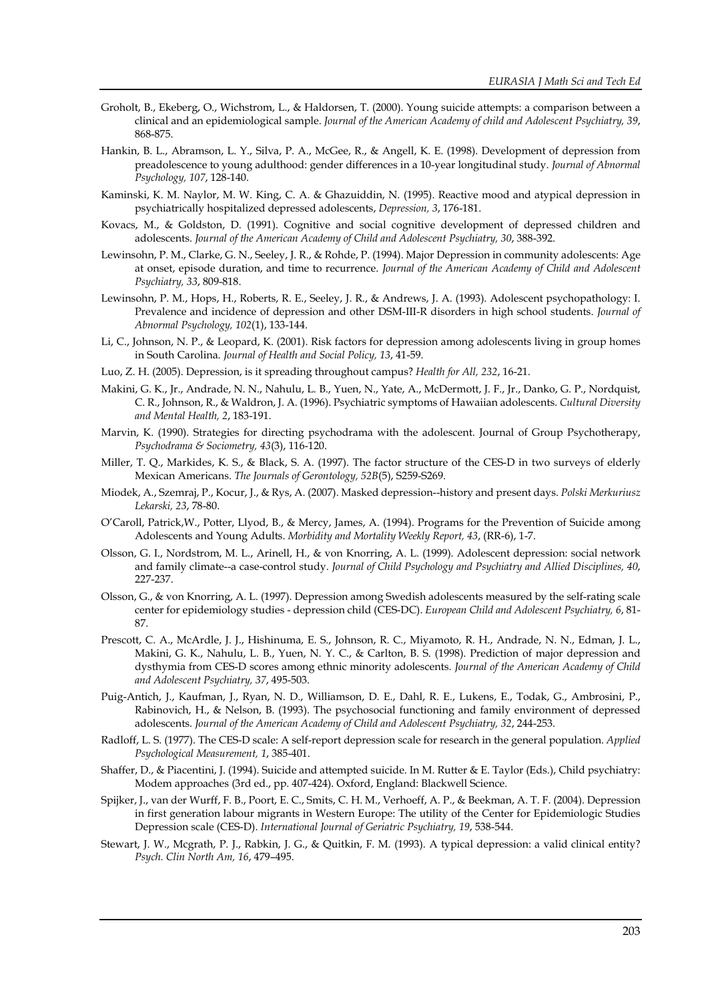- Groholt, B., Ekeberg, O., Wichstrom, L., & Haldorsen, T. (2000). Young suicide attempts: a comparison between a clinical and an epidemiological sample. *Journal of the American Academy of child and Adolescent Psychiatry, 39*, 868-875.
- Hankin, B. L., Abramson, L. Y., Silva, P. A., McGee, R., & Angell, K. E. (1998). Development of depression from preadolescence to young adulthood: gender differences in a 10-year longitudinal study. *Journal of Abnormal Psychology, 107*, 128-140.
- Kaminski, K. M. Naylor, M. W. King, C. A. & Ghazuiddin, N. (1995). Reactive mood and atypical depression in psychiatrically hospitalized depressed adolescents, *Depression, 3*, 176-181.
- Kovacs, M., & Goldston, D. (1991). Cognitive and social cognitive development of depressed children and adolescents. *Journal of the American Academy of Child and Adolescent Psychiatry, 30*, 388-392.
- Lewinsohn, P. M., Clarke, G. N., Seeley, J. R., & Rohde, P. (1994). Major Depression in community adolescents: Age at onset, episode duration, and time to recurrence. *Journal of the American Academy of Child and Adolescent Psychiatry, 33*, 809-818.
- Lewinsohn, P. M., Hops, H., Roberts, R. E., Seeley, J. R., & Andrews, J. A. (1993). Adolescent psychopathology: I. Prevalence and incidence of depression and other DSM-III-R disorders in high school students. *Journal of Abnormal Psychology, 102*(1), 133-144.
- Li, C., Johnson, N. P., & Leopard, K. (2001). Risk factors for depression among adolescents living in group homes in South Carolina. *Journal of Health and Social Policy, 13*, 41-59.
- Luo, Z. H. (2005). Depression, is it spreading throughout campus? *Health for All, 232*, 16-21.
- Makini, G. K., Jr., Andrade, N. N., Nahulu, L. B., Yuen, N., Yate, A., McDermott, J. F., Jr., Danko, G. P., Nordquist, C. R., Johnson, R., & Waldron, J. A. (1996). Psychiatric symptoms of Hawaiian adolescents. *Cultural Diversity and Mental Health, 2*, 183-191.
- Marvin, K. (1990). Strategies for directing psychodrama with the adolescent. Journal of Group Psychotherapy, *Psychodrama & Sociometry, 43*(3), 116-120.
- Miller, T. Q., Markides, K. S., & Black, S. A. (1997). The factor structure of the CES-D in two surveys of elderly Mexican Americans. *The Journals of Gerontology, 52B*(5), S259-S269.
- Miodek, A., Szemraj, P., Kocur, J., & Rys, A. (2007). Masked depression--history and present days. *Polski Merkuriusz Lekarski, 23*, 78-80.
- O'Caroll, Patrick,W., Potter, Llyod, B., & Mercy, James, A. (1994). Programs for the Prevention of Suicide among Adolescents and Young Adults. *Morbidity and Mortality Weekly Report, 43*, (RR-6), 1-7.
- Olsson, G. I., Nordstrom, M. L., Arinell, H., & von Knorring, A. L. (1999). Adolescent depression: social network and family climate--a case-control study. *Journal of Child Psychology and Psychiatry and Allied Disciplines, 40*, 227-237.
- Olsson, G., & von Knorring, A. L. (1997). Depression among Swedish adolescents measured by the self-rating scale center for epidemiology studies - depression child (CES-DC). *European Child and Adolescent Psychiatry, 6*, 81- 87.
- Prescott, C. A., McArdle, J. J., Hishinuma, E. S., Johnson, R. C., Miyamoto, R. H., Andrade, N. N., Edman, J. L., Makini, G. K., Nahulu, L. B., Yuen, N. Y. C., & Carlton, B. S. (1998). Prediction of major depression and dysthymia from CES-D scores among ethnic minority adolescents. *Journal of the American Academy of Child and Adolescent Psychiatry, 37*, 495-503.
- Puig-Antich, J., Kaufman, J., Ryan, N. D., Williamson, D. E., Dahl, R. E., Lukens, E., Todak, G., Ambrosini, P., Rabinovich, H., & Nelson, B. (1993). The psychosocial functioning and family environment of depressed adolescents. *Journal of the American Academy of Child and Adolescent Psychiatry, 32*, 244-253.
- Radloff, L. S. (1977). The CES-D scale: A self-report depression scale for research in the general population. *Applied Psychological Measurement, 1*, 385-401.
- Shaffer, D., & Piacentini, J. (1994). Suicide and attempted suicide. In M. Rutter & E. Taylor (Eds.), Child psychiatry: Modem approaches (3rd ed., pp. 407-424). Oxford, England: Blackwell Science.
- Spijker, J., van der Wurff, F. B., Poort, E. C., Smits, C. H. M., Verhoeff, A. P., & Beekman, A. T. F. (2004). Depression in first generation labour migrants in Western Europe: The utility of the Center for Epidemiologic Studies Depression scale (CES-D). *International Journal of Geriatric Psychiatry, 19*, 538-544.
- Stewart, J. W., Mcgrath, P. J., Rabkin, J. G., & Quitkin, F. M. (1993). A typical depression: a valid clinical entity? *Psych. Clin North Am, 16*, 479–495.